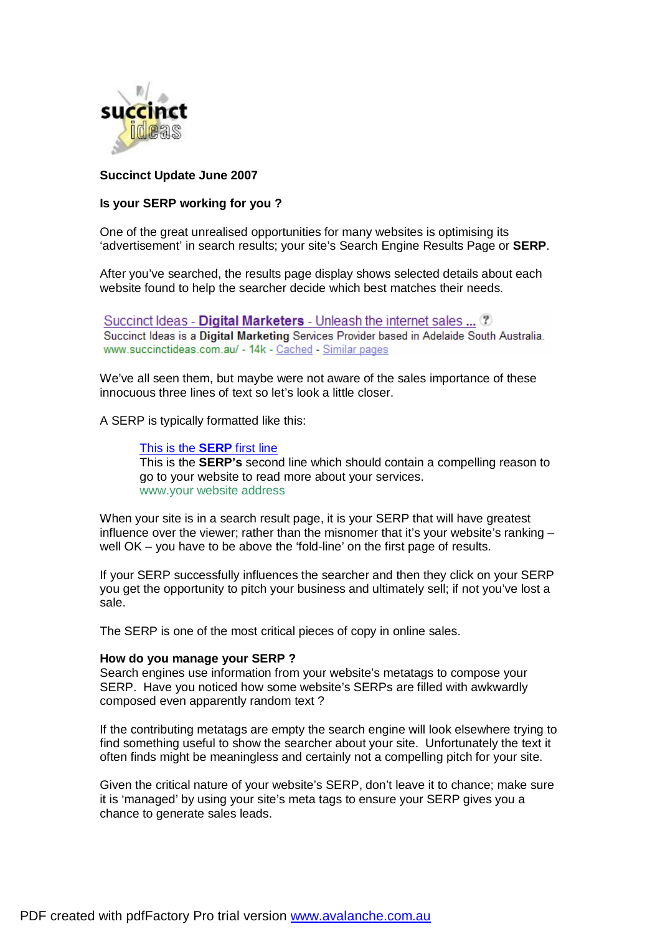

# **Succinct Update June 2007**

## **Is your SERP working for you ?**

One of the great unrealised opportunities for many websites is optimising its 'advertisement' in search results; your site's Search Engine Results Page or **SERP**.

After you've searched, the results page display shows selected details about each website found to help the searcher decide which best matches their needs.

Succinct Ideas - Digital Marketers - Unleash the internet sales ... ? Succinct Ideas is a Digital Marketing Services Provider based in Adelaide South Australia. www.succinctideas.com.au/ - 14k - Cached - Similar pages

We've all seen them, but maybe were not aware of the sales importance of these innocuous three lines of text so let's look a little closer.

A SERP is typically formatted like this:

This is the **SERP** first line This is the **SERP's** second line which should contain a compelling reason to go to your website to read more about your services. www.your website address

When your site is in a search result page, it is your SERP that will have greatest influence over the viewer; rather than the misnomer that it's your website's ranking – well OK – you have to be above the 'fold-line' on the first page of results.

If your SERP successfully influences the searcher and then they click on your SERP you get the opportunity to pitch your business and ultimately sell; if not you've lost a sale.

The SERP is one of the most critical pieces of copy in online sales.

#### **How do you manage your SERP ?**

Search engines use information from your website's metatags to compose your SERP. Have you noticed how some website's SERPs are filled with awkwardly composed even apparently random text ?

If the contributing metatags are empty the search engine will look elsewhere trying to find something useful to show the searcher about your site. Unfortunately the text it often finds might be meaningless and certainly not a compelling pitch for your site.

Given the critical nature of your website's SERP, don't leave it to chance; make sure it is 'managed' by using your site's meta tags to ensure your SERP gives you a chance to generate sales leads.